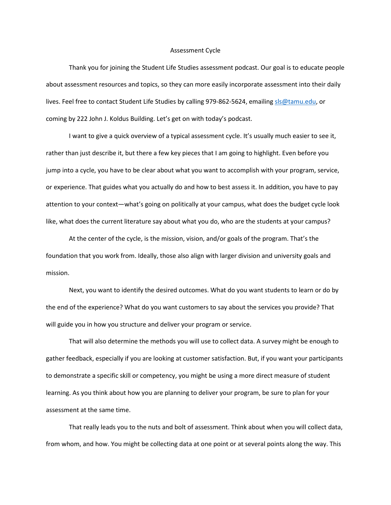## Assessment Cycle

Thank you for joining the Student Life Studies assessment podcast. Our goal is to educate people about assessment resources and topics, so they can more easily incorporate assessment into their daily lives. Feel free to contact Student Life Studies by calling 979-862-5624, emailin[g sls@tamu.edu,](mailto:sls@tamu.edu) or coming by 222 John J. Koldus Building. Let's get on with today's podcast.

I want to give a quick overview of a typical assessment cycle. It's usually much easier to see it, rather than just describe it, but there a few key pieces that I am going to highlight. Even before you jump into a cycle, you have to be clear about what you want to accomplish with your program, service, or experience. That guides what you actually do and how to best assess it. In addition, you have to pay attention to your context—what's going on politically at your campus, what does the budget cycle look like, what does the current literature say about what you do, who are the students at your campus?

At the center of the cycle, is the mission, vision, and/or goals of the program. That's the foundation that you work from. Ideally, those also align with larger division and university goals and mission.

Next, you want to identify the desired outcomes. What do you want students to learn or do by the end of the experience? What do you want customers to say about the services you provide? That will guide you in how you structure and deliver your program or service.

That will also determine the methods you will use to collect data. A survey might be enough to gather feedback, especially if you are looking at customer satisfaction. But, if you want your participants to demonstrate a specific skill or competency, you might be using a more direct measure of student learning. As you think about how you are planning to deliver your program, be sure to plan for your assessment at the same time.

That really leads you to the nuts and bolt of assessment. Think about when you will collect data, from whom, and how. You might be collecting data at one point or at several points along the way. This